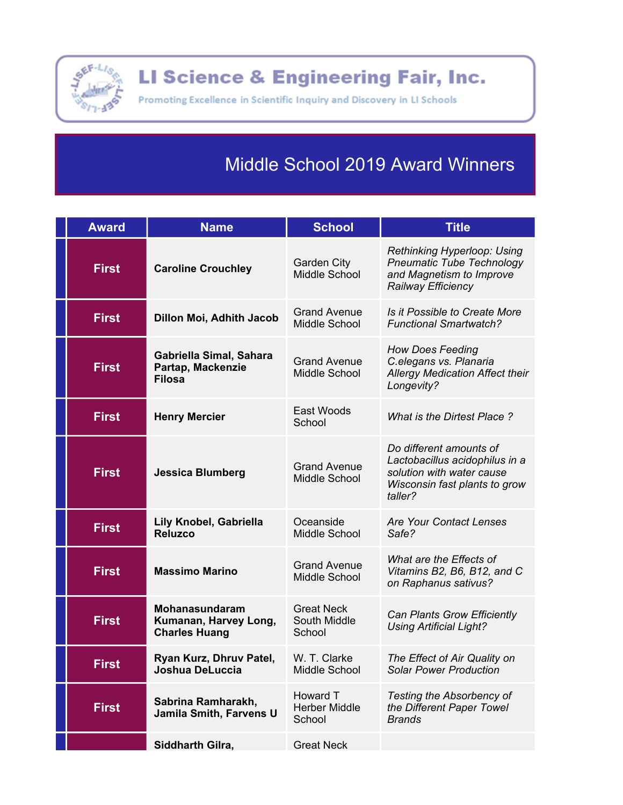

LI Science & Engineering Fair, Inc.

Promoting Excellence in Scientific Inquiry and Discovery in LI Schools

## **Middle School 2019 Award Winners**

| <b>Award</b> | <b>Name</b>                                                            | <b>School</b>                               | <b>Title</b>                                                                                                                       |
|--------------|------------------------------------------------------------------------|---------------------------------------------|------------------------------------------------------------------------------------------------------------------------------------|
| <b>First</b> | <b>Caroline Crouchley</b>                                              | <b>Garden City</b><br>Middle School         | <b>Rethinking Hyperloop: Using</b><br><b>Pneumatic Tube Technology</b><br>and Magnetism to Improve<br>Railway Efficiency           |
| <b>First</b> | Dillon Moi, Adhith Jacob                                               | <b>Grand Avenue</b><br>Middle School        | Is it Possible to Create More<br><b>Functional Smartwatch?</b>                                                                     |
| <b>First</b> | Gabriella Simal, Sahara<br>Partap, Mackenzie<br><b>Filosa</b>          | <b>Grand Avenue</b><br>Middle School        | <b>How Does Feeding</b><br>C.elegans vs. Planaria<br>Allergy Medication Affect their<br>Longevity?                                 |
| <b>First</b> | <b>Henry Mercier</b>                                                   | East Woods<br>School                        | What is the Dirtest Place?                                                                                                         |
| <b>First</b> | <b>Jessica Blumberg</b>                                                | <b>Grand Avenue</b><br>Middle School        | Do different amounts of<br>Lactobacillus acidophilus in a<br>solution with water cause<br>Wisconsin fast plants to grow<br>taller? |
| <b>First</b> | Lily Knobel, Gabriella<br><b>Reluzco</b>                               | Oceanside<br>Middle School                  | <b>Are Your Contact Lenses</b><br>Safe?                                                                                            |
| <b>First</b> | <b>Massimo Marino</b>                                                  | <b>Grand Avenue</b><br>Middle School        | What are the Effects of<br>Vitamins B2, B6, B12, and C<br>on Raphanus sativus?                                                     |
| <b>First</b> | <b>Mohanasundaram</b><br>Kumanan, Harvey Long,<br><b>Charles Huang</b> | <b>Great Neck</b><br>South Middle<br>School | <b>Can Plants Grow Efficiently</b><br><b>Using Artificial Light?</b>                                                               |
| <b>First</b> | Ryan Kurz, Dhruv Patel,<br>Joshua DeLuccia                             | W. T. Clarke<br>Middle School               | The Effect of Air Quality on<br><b>Solar Power Production</b>                                                                      |
| <b>First</b> | Sabrina Ramharakh,<br>Jamila Smith, Farvens U                          | Howard T<br><b>Herber Middle</b><br>School  | <b>Testing the Absorbency of</b><br>the Different Paper Towel<br><b>Brands</b>                                                     |
|              | Siddharth Gilra,                                                       | <b>Great Neck</b>                           |                                                                                                                                    |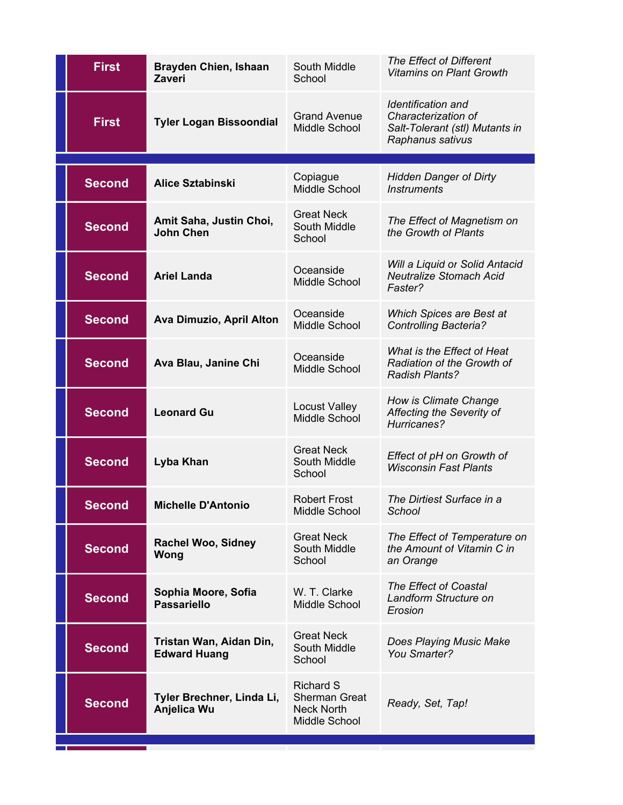| <b>First</b>  | <b>Brayden Chien, Ishaan</b><br><b>Zaveri</b>  | South Middle<br>School                                                         | The Effect of Different<br><b>Vitamins on Plant Growth</b>                                             |
|---------------|------------------------------------------------|--------------------------------------------------------------------------------|--------------------------------------------------------------------------------------------------------|
| <b>First</b>  | <b>Tyler Logan Bissoondial</b>                 | <b>Grand Avenue</b><br>Middle School                                           | <b>Identification and</b><br>Characterization of<br>Salt-Tolerant (stl) Mutants in<br>Raphanus sativus |
| <b>Second</b> | <b>Alice Sztabinski</b>                        | Copiague                                                                       | <b>Hidden Danger of Dirty</b>                                                                          |
|               |                                                | Middle School                                                                  | <b>Instruments</b>                                                                                     |
| <b>Second</b> | Amit Saha, Justin Choi,<br><b>John Chen</b>    | <b>Great Neck</b><br>South Middle<br>School                                    | The Effect of Magnetism on<br>the Growth of Plants                                                     |
| <b>Second</b> | <b>Ariel Landa</b>                             | Oceanside<br><b>Middle School</b>                                              | Will a Liquid or Solid Antacid<br><b>Neutralize Stomach Acid</b><br>Faster?                            |
| <b>Second</b> | Ava Dimuzio, April Alton                       | Oceanside<br>Middle School                                                     | Which Spices are Best at<br><b>Controlling Bacteria?</b>                                               |
| <b>Second</b> | Ava Blau, Janine Chi                           | Oceanside<br><b>Middle School</b>                                              | What is the Effect of Heat<br>Radiation of the Growth of<br><b>Radish Plants?</b>                      |
| <b>Second</b> | <b>Leonard Gu</b>                              | <b>Locust Valley</b><br>Middle School                                          | How is Climate Change<br>Affecting the Severity of<br>Hurricanes?                                      |
| <b>Second</b> | Lyba Khan                                      | <b>Great Neck</b><br>South Middle<br>School                                    | Effect of pH on Growth of<br><b>Wisconsin Fast Plants</b>                                              |
| Second        | <b>Michelle D'Antonio</b>                      | <b>Robert Frost</b><br>Middle School                                           | The Dirtiest Surface in a<br>School                                                                    |
| <b>Second</b> | <b>Rachel Woo, Sidney</b><br>Wong              | <b>Great Neck</b><br>South Middle<br>School                                    | The Effect of Temperature on<br>the Amount of Vitamin C in<br>an Orange                                |
| <b>Second</b> | Sophia Moore, Sofia<br><b>Passariello</b>      | W. T. Clarke<br>Middle School                                                  | <b>The Effect of Coastal</b><br>Landform Structure on<br>Erosion                                       |
| <b>Second</b> | Tristan Wan, Aidan Din,<br><b>Edward Huang</b> | <b>Great Neck</b><br>South Middle<br>School                                    | Does Playing Music Make<br>You Smarter?                                                                |
| <b>Second</b> | Tyler Brechner, Linda Li,<br>Anjelica Wu       | <b>Richard S</b><br><b>Sherman Great</b><br><b>Neck North</b><br>Middle School | Ready, Set, Tap!                                                                                       |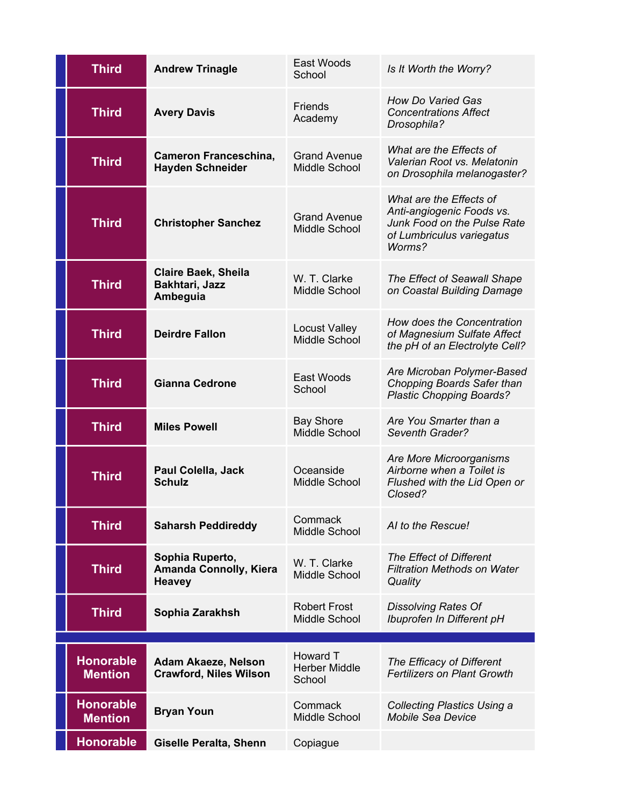| <b>Third</b>                       | <b>Andrew Trinagle</b>                                            | East Woods<br>School                       | Is It Worth the Worry?                                                                                                     |
|------------------------------------|-------------------------------------------------------------------|--------------------------------------------|----------------------------------------------------------------------------------------------------------------------------|
| <b>Third</b>                       | <b>Avery Davis</b>                                                | <b>Friends</b><br>Academy                  | <b>How Do Varied Gas</b><br><b>Concentrations Affect</b><br>Drosophila?                                                    |
| <b>Third</b>                       | <b>Cameron Franceschina,</b><br><b>Hayden Schneider</b>           | <b>Grand Avenue</b><br>Middle School       | What are the Effects of<br>Valerian Root vs. Melatonin<br>on Drosophila melanogaster?                                      |
| <b>Third</b>                       | <b>Christopher Sanchez</b>                                        | <b>Grand Avenue</b><br>Middle School       | What are the Effects of<br>Anti-angiogenic Foods vs.<br>Junk Food on the Pulse Rate<br>of Lumbriculus variegatus<br>Worms? |
| <b>Third</b>                       | <b>Claire Baek, Sheila</b><br>Bakhtari, Jazz<br>Ambeguia          | W. T. Clarke<br>Middle School              | The Effect of Seawall Shape<br>on Coastal Building Damage                                                                  |
| <b>Third</b>                       | <b>Deirdre Fallon</b>                                             | <b>Locust Valley</b><br>Middle School      | How does the Concentration<br>of Magnesium Sulfate Affect<br>the pH of an Electrolyte Cell?                                |
| <b>Third</b>                       | <b>Gianna Cedrone</b>                                             | East Woods<br>School                       | Are Microban Polymer-Based<br>Chopping Boards Safer than<br><b>Plastic Chopping Boards?</b>                                |
| <b>Third</b>                       | <b>Miles Powell</b>                                               | <b>Bay Shore</b><br>Middle School          | Are You Smarter than a<br>Seventh Grader?                                                                                  |
|                                    |                                                                   |                                            | Are More Microorganisms                                                                                                    |
| <b>Third</b>                       | Paul Colella, Jack<br><b>Schulz</b>                               | Oceanside<br>Middle School                 | Airborne when a Toilet is<br>Flushed with the Lid Open or<br>Closed?                                                       |
| <b>Third</b>                       | <b>Saharsh Peddireddy</b>                                         | Commack<br>Middle School                   | Al to the Rescue!                                                                                                          |
| <b>Third</b>                       | Sophia Ruperto,<br><b>Amanda Connolly, Kiera</b><br><b>Heavey</b> | W. T. Clarke<br>Middle School              | The Effect of Different<br><b>Filtration Methods on Water</b><br>Quality                                                   |
| <b>Third</b>                       | Sophia Zarakhsh                                                   | <b>Robert Frost</b><br>Middle School       | <b>Dissolving Rates Of</b><br>Ibuprofen In Different pH                                                                    |
|                                    |                                                                   |                                            |                                                                                                                            |
| <b>Honorable</b><br><b>Mention</b> | Adam Akaeze, Nelson<br><b>Crawford, Niles Wilson</b>              | Howard T<br><b>Herber Middle</b><br>School | The Efficacy of Different<br><b>Fertilizers on Plant Growth</b>                                                            |
| <b>Honorable</b><br><b>Mention</b> | <b>Bryan Youn</b>                                                 | Commack<br>Middle School                   | <b>Collecting Plastics Using a</b><br><b>Mobile Sea Device</b>                                                             |